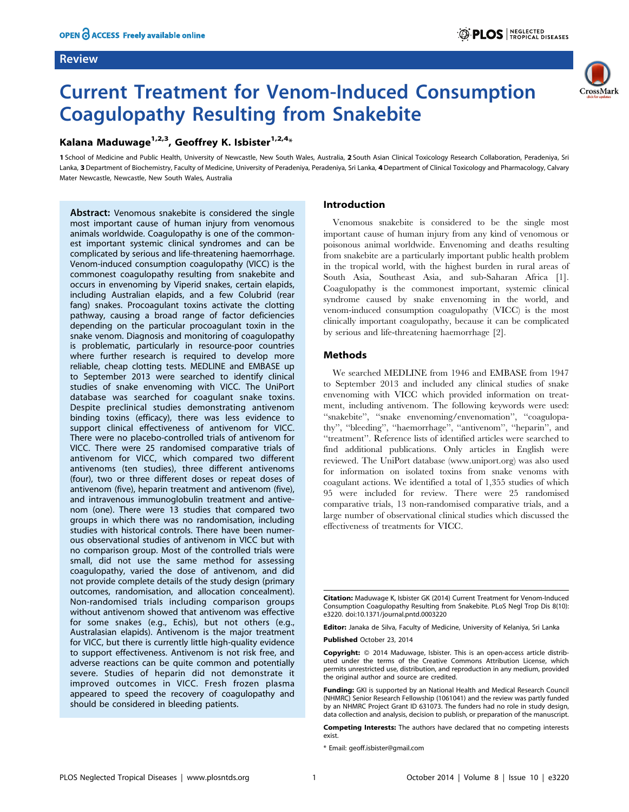# Review



# Current Treatment for Venom-Induced Consumption Coagulopathy Resulting from Snakebite

# Kalana Maduwage<sup>1,2,3</sup>, Geoffrey K. Isbister<sup>1,2,4</sup>\*

1 School of Medicine and Public Health, University of Newcastle, New South Wales, Australia, 2 South Asian Clinical Toxicology Research Collaboration, Peradeniya, Sri Lanka, 3 Department of Biochemistry, Faculty of Medicine, University of Peradeniya, Peradeniya, Sri Lanka, 4 Department of Clinical Toxicology and Pharmacology, Calvary Mater Newcastle, Newcastle, New South Wales, Australia

Abstract: Venomous snakebite is considered the single most important cause of human injury from venomous animals worldwide. Coagulopathy is one of the commonest important systemic clinical syndromes and can be complicated by serious and life-threatening haemorrhage. Venom-induced consumption coagulopathy (VICC) is the commonest coagulopathy resulting from snakebite and occurs in envenoming by Viperid snakes, certain elapids, including Australian elapids, and a few Colubrid (rear fang) snakes. Procoagulant toxins activate the clotting pathway, causing a broad range of factor deficiencies depending on the particular procoagulant toxin in the snake venom. Diagnosis and monitoring of coagulopathy is problematic, particularly in resource-poor countries where further research is required to develop more reliable, cheap clotting tests. MEDLINE and EMBASE up to September 2013 were searched to identify clinical studies of snake envenoming with VICC. The UniPort database was searched for coagulant snake toxins. Despite preclinical studies demonstrating antivenom binding toxins (efficacy), there was less evidence to support clinical effectiveness of antivenom for VICC. There were no placebo-controlled trials of antivenom for VICC. There were 25 randomised comparative trials of antivenom for VICC, which compared two different antivenoms (ten studies), three different antivenoms (four), two or three different doses or repeat doses of antivenom (five), heparin treatment and antivenom (five), and intravenous immunoglobulin treatment and antivenom (one). There were 13 studies that compared two groups in which there was no randomisation, including studies with historical controls. There have been numerous observational studies of antivenom in VICC but with no comparison group. Most of the controlled trials were small, did not use the same method for assessing coagulopathy, varied the dose of antivenom, and did not provide complete details of the study design (primary outcomes, randomisation, and allocation concealment). Non-randomised trials including comparison groups without antivenom showed that antivenom was effective for some snakes (e.g., Echis), but not others (e.g., Australasian elapids). Antivenom is the major treatment for VICC, but there is currently little high-quality evidence to support effectiveness. Antivenom is not risk free, and adverse reactions can be quite common and potentially severe. Studies of heparin did not demonstrate it improved outcomes in VICC. Fresh frozen plasma appeared to speed the recovery of coagulopathy and should be considered in bleeding patients.

# Introduction

Venomous snakebite is considered to be the single most important cause of human injury from any kind of venomous or poisonous animal worldwide. Envenoming and deaths resulting from snakebite are a particularly important public health problem in the tropical world, with the highest burden in rural areas of South Asia, Southeast Asia, and sub-Saharan Africa [1]. Coagulopathy is the commonest important, systemic clinical syndrome caused by snake envenoming in the world, and venom-induced consumption coagulopathy (VICC) is the most clinically important coagulopathy, because it can be complicated by serious and life-threatening haemorrhage [2].

## Methods

We searched MEDLINE from 1946 and EMBASE from 1947 to September 2013 and included any clinical studies of snake envenoming with VICC which provided information on treatment, including antivenom. The following keywords were used: ''snakebite'', ''snake envenoming/envenomation'', ''coagulopathy'', ''bleeding'', ''haemorrhage'', ''antivenom'', ''heparin'', and ''treatment''. Reference lists of identified articles were searched to find additional publications. Only articles in English were reviewed. The UniPort database (<www.uniport.org>) was also used for information on isolated toxins from snake venoms with coagulant actions. We identified a total of 1,355 studies of which 95 were included for review. There were 25 randomised comparative trials, 13 non-randomised comparative trials, and a large number of observational clinical studies which discussed the effectiveness of treatments for VICC.

Citation: Maduwage K, Isbister GK (2014) Current Treatment for Venom-Induced Consumption Coagulopathy Resulting from Snakebite. PLoS Negl Trop Dis 8(10): e3220. doi:10.1371/journal.pntd.0003220

Editor: Janaka de Silva, Faculty of Medicine, University of Kelaniya, Sri Lanka

Published October 23, 2014

Competing Interests: The authors have declared that no competing interests exist.

\* Email: geoff.isbister@gmail.com

Copyright: © 2014 Maduwage, Isbister. This is an open-access article distributed under the terms of the [Creative Commons Attribution License](http://creativecommons.org/licenses/by/4.0/), which permits unrestricted use, distribution, and reproduction in any medium, provided the original author and source are credited.

Funding: GKI is supported by an National Health and Medical Research Council (NHMRC) Senior Research Fellowship (1061041) and the review was partly funded by an NHMRC Project Grant ID 631073. The funders had no role in study design, data collection and analysis, decision to publish, or preparation of the manuscript.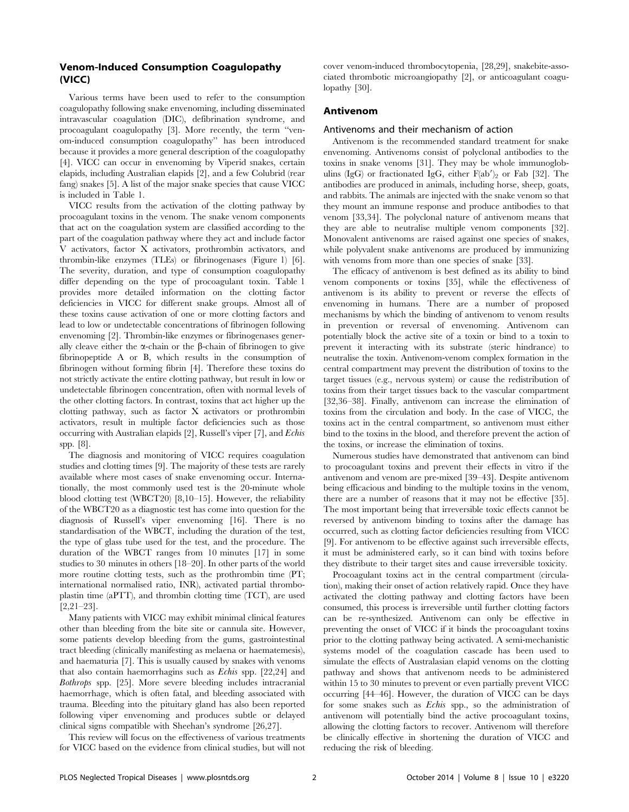# Venom-Induced Consumption Coagulopathy (VICC)

Various terms have been used to refer to the consumption coagulopathy following snake envenoming, including disseminated intravascular coagulation (DIC), defibrination syndrome, and procoagulant coagulopathy [3]. More recently, the term ''venom-induced consumption coagulopathy'' has been introduced because it provides a more general description of the coagulopathy [4]. VICC can occur in envenoming by Viperid snakes, certain elapids, including Australian elapids [2], and a few Colubrid (rear fang) snakes [5]. A list of the major snake species that cause VICC is included in Table 1.

VICC results from the activation of the clotting pathway by procoagulant toxins in the venom. The snake venom components that act on the coagulation system are classified according to the part of the coagulation pathway where they act and include factor V activators, factor X activators, prothrombin activators, and thrombin-like enzymes (TLEs) or fibrinogenases (Figure 1) [6]. The severity, duration, and type of consumption coagulopathy differ depending on the type of procoagulant toxin. Table 1 provides more detailed information on the clotting factor deficiencies in VICC for different snake groups. Almost all of these toxins cause activation of one or more clotting factors and lead to low or undetectable concentrations of fibrinogen following envenoming [2]. Thrombin-like enzymes or fibrinogenases generally cleave either the  $\alpha$ -chain or the  $\beta$ -chain of fibrinogen to give fibrinopeptide A or B, which results in the consumption of fibrinogen without forming fibrin [4]. Therefore these toxins do not strictly activate the entire clotting pathway, but result in low or undetectable fibrinogen concentration, often with normal levels of the other clotting factors. In contrast, toxins that act higher up the clotting pathway, such as factor X activators or prothrombin activators, result in multiple factor deficiencies such as those occurring with Australian elapids [2], Russell's viper [7], and Echis spp. [8].

The diagnosis and monitoring of VICC requires coagulation studies and clotting times [9]. The majority of these tests are rarely available where most cases of snake envenoming occur. Internationally, the most commonly used test is the 20-minute whole blood clotting test (WBCT20) [8,10–15]. However, the reliability of the WBCT20 as a diagnostic test has come into question for the diagnosis of Russell's viper envenoming [16]. There is no standardisation of the WBCT, including the duration of the test, the type of glass tube used for the test, and the procedure. The duration of the WBCT ranges from 10 minutes [17] in some studies to 30 minutes in others [18–20]. In other parts of the world more routine clotting tests, such as the prothrombin time (PT; international normalised ratio, INR), activated partial thromboplastin time (aPTT), and thrombin clotting time (TCT), are used [2,21–23].

Many patients with VICC may exhibit minimal clinical features other than bleeding from the bite site or cannula site. However, some patients develop bleeding from the gums, gastrointestinal tract bleeding (clinically manifesting as melaena or haematemesis), and haematuria [7]. This is usually caused by snakes with venoms that also contain haemorrhagins such as Echis spp. [22,24] and Bothrops spp. [25]. More severe bleeding includes intracranial haemorrhage, which is often fatal, and bleeding associated with trauma. Bleeding into the pituitary gland has also been reported following viper envenoming and produces subtle or delayed clinical signs compatible with Sheehan's syndrome [26,27].

This review will focus on the effectiveness of various treatments for VICC based on the evidence from clinical studies, but will not

cover venom-induced thrombocytopenia, [28,29], snakebite-associated thrombotic microangiopathy [2], or anticoagulant coagulopathy [30].

# Antivenom

## Antivenoms and their mechanism of action

Antivenom is the recommended standard treatment for snake envenoming. Antivenoms consist of polyclonal antibodies to the toxins in snake venoms [31]. They may be whole immunoglobulins (IgG) or fractionated IgG, either  $F(ab')_2$  or Fab [32]. The antibodies are produced in animals, including horse, sheep, goats, and rabbits. The animals are injected with the snake venom so that they mount an immune response and produce antibodies to that venom [33,34]. The polyclonal nature of antivenom means that they are able to neutralise multiple venom components [32]. Monovalent antivenoms are raised against one species of snakes, while polyvalent snake antivenoms are produced by immunizing with venoms from more than one species of snake [33].

The efficacy of antivenom is best defined as its ability to bind venom components or toxins [35], while the effectiveness of antivenom is its ability to prevent or reverse the effects of envenoming in humans. There are a number of proposed mechanisms by which the binding of antivenom to venom results in prevention or reversal of envenoming. Antivenom can potentially block the active site of a toxin or bind to a toxin to prevent it interacting with its substrate (steric hindrance) to neutralise the toxin. Antivenom-venom complex formation in the central compartment may prevent the distribution of toxins to the target tissues (e.g., nervous system) or cause the redistribution of toxins from their target tissues back to the vascular compartment [32,36–38]. Finally, antivenom can increase the elimination of toxins from the circulation and body. In the case of VICC, the toxins act in the central compartment, so antivenom must either bind to the toxins in the blood, and therefore prevent the action of the toxins, or increase the elimination of toxins.

Numerous studies have demonstrated that antivenom can bind to procoagulant toxins and prevent their effects in vitro if the antivenom and venom are pre-mixed [39–43]. Despite antivenom being efficacious and binding to the multiple toxins in the venom, there are a number of reasons that it may not be effective [35]. The most important being that irreversible toxic effects cannot be reversed by antivenom binding to toxins after the damage has occurred, such as clotting factor deficiencies resulting from VICC [9]. For antivenom to be effective against such irreversible effects, it must be administered early, so it can bind with toxins before they distribute to their target sites and cause irreversible toxicity.

Procoagulant toxins act in the central compartment (circulation), making their onset of action relatively rapid. Once they have activated the clotting pathway and clotting factors have been consumed, this process is irreversible until further clotting factors can be re-synthesized. Antivenom can only be effective in preventing the onset of VICC if it binds the procoagulant toxins prior to the clotting pathway being activated. A semi-mechanistic systems model of the coagulation cascade has been used to simulate the effects of Australasian elapid venoms on the clotting pathway and shows that antivenom needs to be administered within 15 to 30 minutes to prevent or even partially prevent VICC occurring [44–46]. However, the duration of VICC can be days for some snakes such as Echis spp., so the administration of antivenom will potentially bind the active procoagulant toxins, allowing the clotting factors to recover. Antivenom will therefore be clinically effective in shortening the duration of VICC and reducing the risk of bleeding.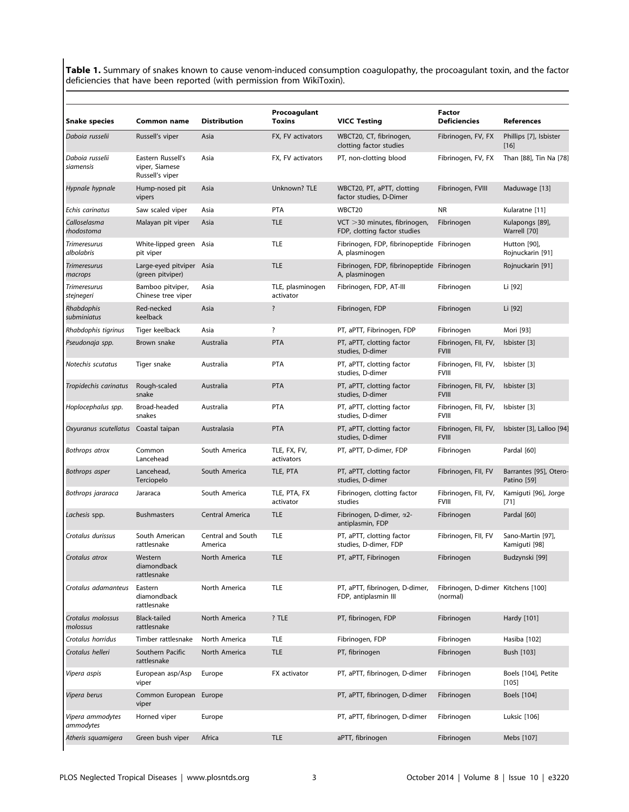Table 1. Summary of snakes known to cause venom-induced consumption coagulopathy, the procoagulant toxin, and the factor deficiencies that have been reported (with permission from WikiToxin).

| <b>Snake species</b>              | Common name                                            | <b>Distribution</b>          | Procoagulant<br><b>Toxins</b> | <b>VICC Testing</b>                                           | <b>Factor</b><br><b>Deficiencies</b>           | References                            |
|-----------------------------------|--------------------------------------------------------|------------------------------|-------------------------------|---------------------------------------------------------------|------------------------------------------------|---------------------------------------|
| Daboia russelii                   | Russell's viper                                        | Asia                         | FX, FV activators             | WBCT20, CT, fibrinogen,<br>clotting factor studies            | Fibrinogen, FV, FX                             | Phillips [7], Isbister<br>$[16]$      |
| Daboia russelii<br>siamensis      | Eastern Russell's<br>viper, Siamese<br>Russell's viper | Asia                         | FX, FV activators             | PT, non-clotting blood                                        | Fibrinogen, FV, FX                             | Than [88], Tin Na [78]                |
| Hypnale hypnale                   | Hump-nosed pit<br>vipers                               | Asia                         | Unknown? TLE                  | WBCT20, PT, aPTT, clotting<br>factor studies, D-Dimer         | Fibrinogen, FVIII                              | Maduwage [13]                         |
| Echis carinatus                   | Saw scaled viper                                       | Asia                         | <b>PTA</b>                    | WBCT20                                                        | <b>NR</b>                                      | Kularatne [11]                        |
| Calloselasma<br>rhodostoma        | Malayan pit viper                                      | Asia                         | <b>TLE</b>                    | VCT > 30 minutes, fibrinogen,<br>FDP, clotting factor studies | Fibrinogen                                     | Kulapongs [89],<br>Warrell [70]       |
| <b>Trimeresurus</b><br>albolabris | White-lipped green<br>pit viper                        | Asia                         | TLE                           | Fibrinogen, FDP, fibrinopeptide Fibrinogen<br>A, plasminogen  |                                                | Hutton [90],<br>Rojnuckarin [91]      |
| <b>Trimeresurus</b><br>macrops    | Large-eyed pitviper<br>(green pitviper)                | Asia                         | <b>TLE</b>                    | Fibrinogen, FDP, fibrinopeptide Fibrinogen<br>A, plasminogen  |                                                | Rojnuckarin [91]                      |
| <b>Trimeresurus</b><br>stejnegeri | Bamboo pitviper,<br>Chinese tree viper                 | Asia                         | TLE, plasminogen<br>activator | Fibrinogen, FDP, AT-III                                       | Fibrinogen                                     | Li [92]                               |
| <b>Rhabdophis</b><br>subminiatus  | Red-necked<br>keelback                                 | Asia                         | $\ddot{?}$                    | Fibrinogen, FDP                                               | Fibrinogen                                     | Li [92]                               |
| Rhabdophis tigrinus               | Tiger keelback                                         | Asia                         | ?                             | PT, aPTT, Fibrinogen, FDP                                     | Fibrinogen                                     | Mori [93]                             |
| Pseudonaja spp.                   | Brown snake                                            | Australia                    | PTA                           | PT, aPTT, clotting factor<br>studies, D-dimer                 | Fibrinogen, Fll, FV,<br><b>FVIII</b>           | Isbister [3]                          |
| Notechis scutatus                 | Tiger snake                                            | Australia                    | PTA                           | PT, aPTT, clotting factor<br>studies, D-dimer                 | Fibrinogen, Fll, FV,<br><b>FVIII</b>           | Isbister [3]                          |
| Tropidechis carinatus             | Rough-scaled<br>snake                                  | Australia                    | PTA                           | PT, aPTT, clotting factor<br>studies, D-dimer                 | Fibrinogen, Fll, FV,<br><b>FVIII</b>           | Isbister [3]                          |
| Hoplocephalus spp.                | Broad-headed<br>snakes                                 | Australia                    | PTA                           | PT, aPTT, clotting factor<br>studies, D-dimer                 | Fibrinogen, Fll, FV,<br><b>FVIII</b>           | Isbister [3]                          |
| Oxyuranus scutellatus             | Coastal taipan                                         | Australasia                  | PTA                           | PT, aPTT, clotting factor<br>studies, D-dimer                 | Fibrinogen, Fll, FV,<br><b>FVIII</b>           | Isbister [3], Lalloo [94]             |
| <b>Bothrops</b> atrox             | Common<br>Lancehead                                    | South America                | TLE, FX, FV,<br>activators    | PT, aPTT, D-dimer, FDP                                        | Fibrinogen                                     | Pardal [60]                           |
| Bothrops asper                    | Lancehead,<br>Terciopelo                               | South America                | TLE, PTA                      | PT, aPTT, clotting factor<br>studies, D-dimer                 | Fibrinogen, Fll, FV                            | Barrantes [95], Otero-<br>Patino [59] |
| Bothrops jararaca                 | Jararaca                                               | South America                | TLE, PTA, FX<br>activator     | Fibrinogen, clotting factor<br>studies                        | Fibrinogen, Fll, FV,<br><b>FVIII</b>           | Kamiguti [96], Jorge<br>$[71]$        |
| Lachesis spp.                     | <b>Bushmasters</b>                                     | Central America              | <b>TLE</b>                    | Fibrinogen, D-dimer, α2-<br>antiplasmin, FDP                  | Fibrinogen                                     | Pardal [60]                           |
| Crotalus durissus                 | South American<br>rattlesnake                          | Central and South<br>America | TLE                           | PT, aPTT, clotting factor<br>studies, D-dimer, FDP            | Fibrinogen, Fll, FV                            | Sano-Martin [97],<br>Kamiguti [98]    |
| Crotalus atrox                    | Western<br>diamondback<br>rattlesnake                  | North America                | <b>TLE</b>                    | PT, aPTT, Fibrinogen                                          | Fibrinogen                                     | Budzynski [99]                        |
| Crotalus adamanteus               | Eastern<br>diamondback<br>rattlesnake                  | North America                | TLE                           | PT, aPTT, fibrinogen, D-dimer,<br>FDP, antiplasmin III        | Fibrinogen, D-dimer Kitchens [100]<br>(normal) |                                       |
| Crotalus molossus<br>molossus     | <b>Black-tailed</b><br>rattlesnake                     | North America                | ? TLE                         | PT, fibrinogen, FDP                                           | Fibrinogen                                     | Hardy [101]                           |
| Crotalus horridus                 | Timber rattlesnake                                     | North America                | TLE                           | Fibrinogen, FDP                                               | Fibrinogen                                     | Hasiba [102]                          |
| Crotalus helleri                  | Southern Pacific<br>rattlesnake                        | North America                | <b>TLE</b>                    | PT, fibrinogen                                                | Fibrinogen                                     | Bush [103]                            |
| Vipera aspis                      | European asp/Asp<br>viper                              | Europe                       | FX activator                  | PT, aPTT, fibrinogen, D-dimer                                 | Fibrinogen                                     | Boels [104], Petite<br>[105]          |
| Vipera berus                      | Common European<br>viper                               | Europe                       |                               | PT, aPTT, fibrinogen, D-dimer                                 | Fibrinogen                                     | Boels [104]                           |
| Vipera ammodytes<br>ammodytes     | Horned viper                                           | Europe                       |                               | PT, aPTT, fibrinogen, D-dimer                                 | Fibrinogen                                     | Luksic [106]                          |
| Atheris squamigera                | Green bush viper                                       | Africa                       | <b>TLE</b>                    | aPTT, fibrinogen                                              | Fibrinogen                                     | Mebs [107]                            |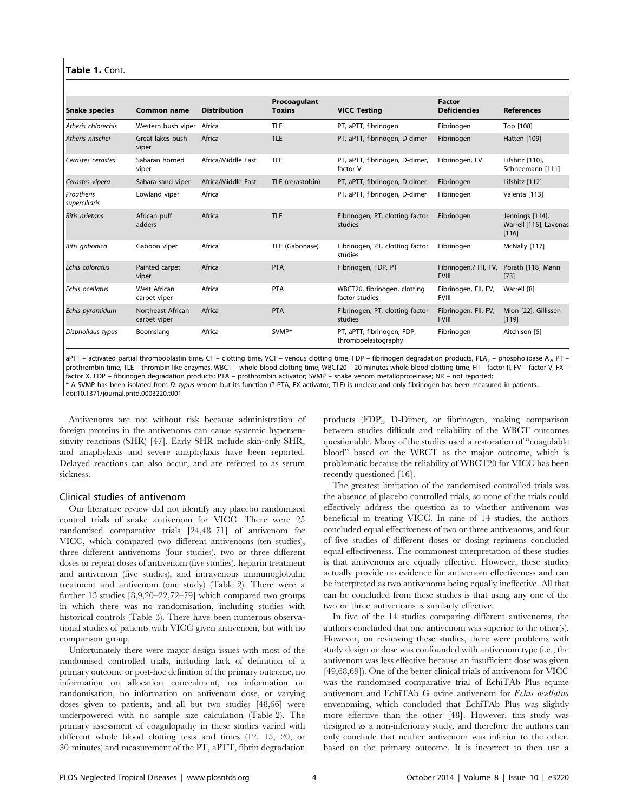#### Table 1. Cont.

| <b>Snake species</b>        | <b>Common name</b>                | <b>Distribution</b> | Procoagulant<br><b>Toxins</b> | <b>VICC Testing</b>                               | <b>Factor</b><br><b>Deficiencies</b>  | <b>References</b>                                  |
|-----------------------------|-----------------------------------|---------------------|-------------------------------|---------------------------------------------------|---------------------------------------|----------------------------------------------------|
| Atheris chlorechis          | Western bush viper                | Africa              | <b>TLE</b>                    | PT, aPTT, fibrinogen                              | Fibrinogen                            | Top [108]                                          |
| Atheris nitschei            | Great lakes bush<br>viper         | Africa              | <b>TLE</b>                    | PT, aPTT, fibrinogen, D-dimer                     | Fibrinogen                            | Hatten [109]                                       |
| Cerastes cerastes           | Saharan horned<br>viper           | Africa/Middle East  | <b>TLE</b>                    | PT, aPTT, fibrinogen, D-dimer,<br>factor V        | Fibrinogen, FV                        | Lifshitz [110],<br>Schneemann [111]                |
| Cerastes vipera             | Sahara sand viper                 | Africa/Middle East  | TLE (cerastobin)              | PT, aPTT, fibrinogen, D-dimer                     | Fibrinogen                            | Lifshitz [112]                                     |
| Proatheris<br>superciliaris | Lowland viper                     | Africa              |                               | PT, aPTT, fibrinogen, D-dimer                     | Fibrinogen                            | Valenta [113]                                      |
| <b>Bitis arietans</b>       | African puff<br>adders            | Africa              | <b>TLE</b>                    | Fibrinogen, PT, clotting factor<br>studies        | Fibrinogen                            | Jennings [114],<br>Warrell [115], Lavonas<br>[116] |
| Bitis gabonica              | Gaboon viper                      | Africa              | TLE (Gabonase)                | Fibrinogen, PT, clotting factor<br>studies        | Fibrinogen                            | McNally [117]                                      |
| Echis coloratus             | Painted carpet<br>viper           | Africa              | PTA                           | Fibrinogen, FDP, PT                               | Fibrinogen,? Fll, FV,<br><b>FVIII</b> | Porath [118] Mann<br>$[73]$                        |
| Echis ocellatus             | West African<br>carpet viper      | Africa              | <b>PTA</b>                    | WBCT20, fibrinogen, clotting<br>factor studies    | Fibrinogen, Fll, FV,<br><b>FVIII</b>  | Warrell [8]                                        |
| Echis pyramidum             | Northeast African<br>carpet viper | Africa              | PTA                           | Fibrinogen, PT, clotting factor<br>studies        | Fibrinogen, Fll, FV,<br><b>FVIII</b>  | Mion [22], Gillissen<br>[119]                      |
| Dispholidus typus           | Boomslang                         | Africa              | SVMP*                         | PT, aPTT, fibrinogen, FDP,<br>thromboelastography | Fibrinogen                            | Aitchison [5]                                      |

aPTT – activated partial thromboplastin time, CT – clotting time, VCT – venous clotting time, FDP – fibrinogen degradation products, PLA<sub>2</sub> – phospholipase A<sub>2</sub>, PT – prothrombin time, TLE – thrombin like enzymes, WBCT – whole blood clotting time, WBCT20 – 20 minutes whole blood clotting time, FII – factor II, FV – factor V, FX – factor X, FDP – fibrinogen degradation products; PTA – prothrombin activator; SVMP – snake venom metalloproteinase; NR – not reported; \* A SVMP has been isolated from D. typus venom but its function (? PTA, FX activator, TLE) is unclear and only fibrinogen has been measured in patients. doi:10.1371/journal.pntd.0003220.t001

Antivenoms are not without risk because administration of foreign proteins in the antivenoms can cause systemic hypersensitivity reactions (SHR) [47]. Early SHR include skin-only SHR, and anaphylaxis and severe anaphylaxis have been reported. Delayed reactions can also occur, and are referred to as serum sickness.

#### Clinical studies of antivenom

Our literature review did not identify any placebo randomised control trials of snake antivenom for VICC. There were 25 randomised comparative trials [24,48–71] of antivenom for VICC, which compared two different antivenoms (ten studies), three different antivenoms (four studies), two or three different doses or repeat doses of antivenom (five studies), heparin treatment and antivenom (five studies), and intravenous immunoglobulin treatment and antivenom (one study) (Table 2). There were a further 13 studies [8,9,20–22,72–79] which compared two groups in which there was no randomisation, including studies with historical controls (Table 3). There have been numerous observational studies of patients with VICC given antivenom, but with no comparison group.

Unfortunately there were major design issues with most of the randomised controlled trials, including lack of definition of a primary outcome or post-hoc definition of the primary outcome, no information on allocation concealment, no information on randomisation, no information on antivenom dose, or varying doses given to patients, and all but two studies [48,66] were underpowered with no sample size calculation (Table 2). The primary assessment of coagulopathy in these studies varied with different whole blood clotting tests and times (12, 15, 20, or 30 minutes) and measurement of the PT, aPTT, fibrin degradation products (FDP), D-Dimer, or fibrinogen, making comparison between studies difficult and reliability of the WBCT outcomes questionable. Many of the studies used a restoration of ''coagulable blood'' based on the WBCT as the major outcome, which is problematic because the reliability of WBCT20 for VICC has been recently questioned [16].

The greatest limitation of the randomised controlled trials was the absence of placebo controlled trials, so none of the trials could effectively address the question as to whether antivenom was beneficial in treating VICC. In nine of 14 studies, the authors concluded equal effectiveness of two or three antivenoms, and four of five studies of different doses or dosing regimens concluded equal effectiveness. The commonest interpretation of these studies is that antivenoms are equally effective. However, these studies actually provide no evidence for antivenom effectiveness and can be interpreted as two antivenoms being equally ineffective. All that can be concluded from these studies is that using any one of the two or three antivenoms is similarly effective.

In five of the 14 studies comparing different antivenoms, the authors concluded that one antivenom was superior to the other(s). However, on reviewing these studies, there were problems with study design or dose was confounded with antivenom type (i.e., the antivenom was less effective because an insufficient dose was given [49,68,69]). One of the better clinical trials of antivenom for VICC was the randomised comparative trial of EchiTAb Plus equine antivenom and EchiTAb G ovine antivenom for Echis ocellatus envenoming, which concluded that EchiTAb Plus was slightly more effective than the other [48]. However, this study was designed as a non-inferiority study, and therefore the authors can only conclude that neither antivenom was inferior to the other, based on the primary outcome. It is incorrect to then use a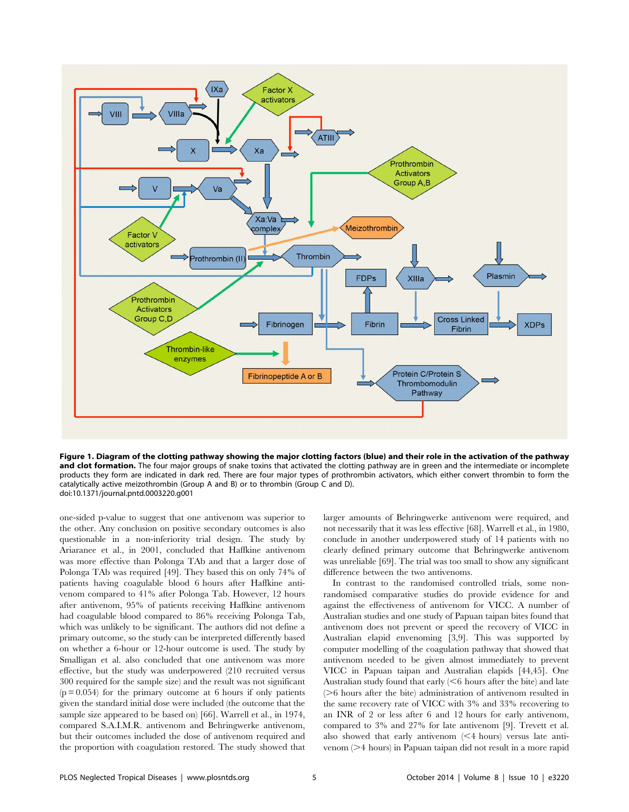

Figure 1. Diagram of the clotting pathway showing the major clotting factors (blue) and their role in the activation of the pathway and clot formation. The four major groups of snake toxins that activated the clotting pathway are in green and the intermediate or incomplete products they form are indicated in dark red. There are four major types of prothrombin activators, which either convert thrombin to form the catalytically active meizothrombin (Group A and B) or to thrombin (Group C and D). doi:10.1371/journal.pntd.0003220.g001

one-sided p-value to suggest that one antivenom was superior to the other. Any conclusion on positive secondary outcomes is also questionable in a non-inferiority trial design. The study by Ariaranee et al., in 2001, concluded that Haffkine antivenom was more effective than Polonga TAb and that a larger dose of Polonga TAb was required [49]. They based this on only 74% of patients having coagulable blood 6 hours after Haffkine antivenom compared to 41% after Polonga Tab. However, 12 hours after antivenom, 95% of patients receiving Haffkine antivenom had coagulable blood compared to 86% receiving Polonga Tab, which was unlikely to be significant. The authors did not define a primary outcome, so the study can be interpreted differently based on whether a 6-hour or 12-hour outcome is used. The study by Smalligan et al. also concluded that one antivenom was more effective, but the study was underpowered (210 recruited versus 300 required for the sample size) and the result was not significant  $(p = 0.054)$  for the primary outcome at 6 hours if only patients given the standard initial dose were included (the outcome that the sample size appeared to be based on) [66]. Warrell et al., in 1974, compared S.A.I.M.R. antivenom and Behringwerke antivenom, but their outcomes included the dose of antivenom required and the proportion with coagulation restored. The study showed that

larger amounts of Behringwerke antivenom were required, and not necessarily that it was less effective [68]. Warrell et al., in 1980, conclude in another underpowered study of 14 patients with no clearly defined primary outcome that Behringwerke antivenom was unreliable [69]. The trial was too small to show any significant difference between the two antivenoms.

In contrast to the randomised controlled trials, some nonrandomised comparative studies do provide evidence for and against the effectiveness of antivenom for VICC. A number of Australian studies and one study of Papuan taipan bites found that antivenom does not prevent or speed the recovery of VICC in Australian elapid envenoming [3,9]. This was supported by computer modelling of the coagulation pathway that showed that antivenom needed to be given almost immediately to prevent VICC in Papuan taipan and Australian elapids [44,45]. One Australian study found that early  $(<$ 6 hours after the bite) and late  $($ >6 hours after the bite) administration of antivenom resulted in the same recovery rate of VICC with 3% and 33% recovering to an INR of 2 or less after 6 and 12 hours for early antivenom, compared to 3% and 27% for late antivenom [9]. Trevett et al. also showed that early antivenom  $\leq 4$  hours) versus late antivenom  $(>4$  hours) in Papuan taipan did not result in a more rapid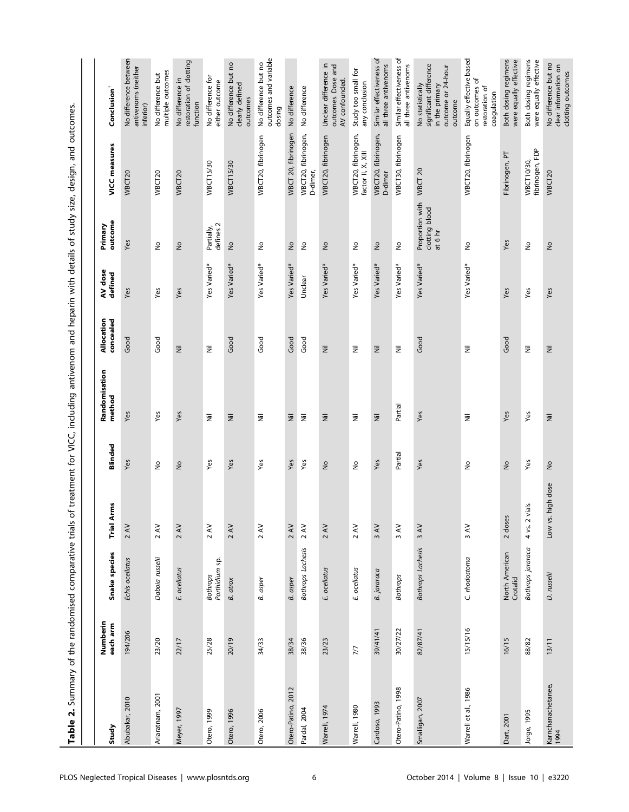| Study                      | Numberin<br>each arm | Snake species              | Ĕ<br>Trial A         | Blinded                    | Randomisation<br>method   | Allocation<br>concealed   | AV dose<br>defined | outcome<br>Primary                           | VICC measures                             | <b>Conclusion</b>                                                                             |
|----------------------------|----------------------|----------------------------|----------------------|----------------------------|---------------------------|---------------------------|--------------------|----------------------------------------------|-------------------------------------------|-----------------------------------------------------------------------------------------------|
| Abubakar, 2010             | 194/206              | Echis ocellatus            | 2 AV                 | Yes                        | Yes                       | Good                      | Yes                | Yes                                          | WBCT20                                    | No difference between<br>antivenoms (neither<br>inferior)                                     |
| Ariaratnam, 2001           | 23/20                | Daboia russelii            | 2 AV                 | $\stackrel{\mathtt{o}}{z}$ | Yes                       | Good                      | Yes                | $\stackrel{\mathtt{o}}{\mathtt{z}}$          | <b>WBCT20</b>                             | multiple outcomes<br>No difference but                                                        |
| Meyer, 1997                | 22/17                | E. ocellatus               | 2 AV                 | $\frac{1}{2}$              | Yes                       | $\bar{z}$                 | Yes                | $\frac{\circ}{\mathsf{Z}}$                   | WBCT20                                    | restoration of clotting<br>No difference in<br>function                                       |
| Otero, 1999                | 25/28                | Porthidium sp.<br>Bothrops | 2 AV                 | Yes                        | Ξ                         | Ξ                         | Yes Varied*        | Partially,<br>defines 2                      | <b>WBCT15/30</b>                          | No difference for<br>either outcome                                                           |
| Otero, 1996                | 20/19                | B. atrox                   | 2 AV                 | Yes                        | $\overline{\overline{z}}$ | Good                      | Yes Varied*        | $\frac{1}{2}$                                | <b>WBCT15/30</b>                          | $\mathsf{S}$<br>No difference but<br>clearly defined<br>outcomes                              |
| Otero, 2006                | 34/33                | B. asper                   | 2 AV                 | Yes                        | Ξ                         | Good                      | Yes Varied*        | $\stackrel{\circ}{\simeq}$                   | WBCT20, fibrinogen                        | outcomes and variable<br>No difference but no<br>dosing                                       |
| Otero-Patino, 2012         | 38/34                | B. asper                   | 2 AV                 | Yes                        | Ξ                         | Good                      | Yes Varied*        | $\stackrel{\mathtt{o}}{\mathbb{E}}$          | WBCT 20, fibrinogen                       | No difference                                                                                 |
| Pardal, 2004               | 38/36                | <b>Bothrops Lachesis</b>   | 2 AV                 | Yes                        | 医                         | Good                      | Unclear            | $\frac{1}{2}$                                | WBCT20, fibrinogen,<br>D-dimer,           | No difference                                                                                 |
| Warrell, 1974              | 23/23                | E. ocellatus               | 2 AV                 | $\geq$                     | $\overline{\overline{z}}$ | $\overline{\overline{z}}$ | Yes Varied*        | $\frac{1}{2}$                                | WBCT20, fibrinogen                        | Unclear difference in<br>outcomes. Dose and<br>AV confounded.                                 |
| Warrell, 1980              | 7/7                  | E. ocellatus               | 2 AV                 | ş                          | Ξ                         | Ξ                         | Yes Varied*        | ş                                            | WBCT20, fibrinogen,<br>factor II, X, XIII | Study too small for<br>any conclusion                                                         |
| Cardoso, 1993              | 39/41/41             | B. jararaca                | 3 AV                 | Yes                        | $\overline{\overline{z}}$ | $\bar{z}$                 | Yes Varied*        | $\frac{\circ}{\sim}$                         | WBCT20, fibrinogen,<br>D-dimer            | Similar effectiveness of<br>all three antivenoms                                              |
| Otero-Patino, 1998         | 30/27/22             | Bothrops                   | $\gtrless$<br>$\sim$ | Partial                    | Partial                   | Ξ                         | Yes Varied*        | $\overset{\circ}{\simeq}$                    | WBCT30, fibrinogen                        | Similar effectiveness of<br>all three antivenoms                                              |
| Smalligan, 2007            | 82/87/41             | <b>Bothrops Lachesis</b>   | 3 AV                 | Yes                        | Yes                       | Good                      | Yes Varied*        | Proportion with<br>clotting blood<br>at 6 hr | WBCT 20                                   | significant difference<br>outcome or 24-hour<br>No statistically<br>in the primary<br>outcome |
| Warrell et al., 1986       | 15/15/16             | C. rhodostoma              | 3 AV                 | $\frac{1}{2}$              | $\overline{\Xi}$          | $\overline{\Xi}$          | Yes Varied*        | $\frac{1}{2}$                                | WBCT20, fibrinogen                        | Equally effective based<br>on outcomes of<br>restoration of<br>coagulation                    |
| Dart, 2001                 | 16/15                | North American<br>Crotalid | 2 doses              | $\frac{\circ}{\sim}$       | Yes                       | Good                      | Yes                | Yes                                          | Fibrinogen, PT                            | Both dosing regimens<br>were equally effective                                                |
| Jorge, 1995                | 88/82                | Bothrops jararaca          | vials<br>4 vs. 2     | Yes                        | Yes                       | Ξ                         | Yes                | $\stackrel{\mathtt{o}}{\mathtt{g}}$          | fibrinogen, FDP<br>WBCT10/30,             | Both dosing regimens<br>were equally effective                                                |
| Karnchanachetanee,<br>1994 | 13/11                | D. russelii                | high dose<br>Low vs. | $\frac{\circ}{\sim}$       | Ξ                         | $\overline{\overline{z}}$ | Yes                | $\frac{\circ}{\sim}$                         | WBCT20                                    | No difference but no<br>clear information on<br>clotting outcomes                             |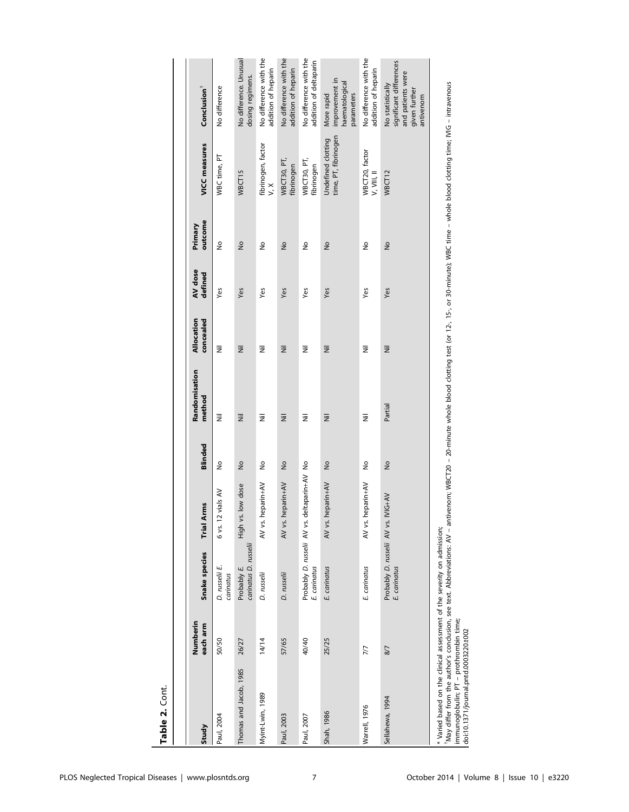| Study                                                                                                                                                                                                                                                                                                                                                                             | Numberin<br>each arm | Snake species                                       | <b>Trial Arms</b>                            | <b>Blinded</b> | Randomisation<br>method | Allocation<br>concealed | AV dose<br>defined | outcome<br>Primary | VICC measures                              | Conclusion <sup>®</sup>                                                                        |
|-----------------------------------------------------------------------------------------------------------------------------------------------------------------------------------------------------------------------------------------------------------------------------------------------------------------------------------------------------------------------------------|----------------------|-----------------------------------------------------|----------------------------------------------|----------------|-------------------------|-------------------------|--------------------|--------------------|--------------------------------------------|------------------------------------------------------------------------------------------------|
| Paul, 2004                                                                                                                                                                                                                                                                                                                                                                        | 50/50                | D. russelii E.<br>carinatus                         | 6 vs. 12 vials AV                            | $\frac{1}{2}$  | Ξ                       | Ξ                       | Yes                | $\frac{1}{2}$      | WBC time, PT                               | No difference                                                                                  |
| Thomas and Jacob, 1985                                                                                                                                                                                                                                                                                                                                                            | 26/27                | carinatus D. russelii<br>Probably E.                | low dose<br>High vs.                         | $\frac{1}{2}$  | Ξ                       | Ξ                       | Yes                | $\frac{1}{2}$      | WBCT15                                     | No difference. Unusual<br>dosing regimens.                                                     |
| Myint-Lwin, 1989                                                                                                                                                                                                                                                                                                                                                                  | 14/14                | D. russelii                                         | AV vs. heparin+AV                            | Ş              | Ξ                       | Ξ                       | Yes                | $\frac{1}{2}$      | fibrinogen, factor<br>$\times$             | No difference with the<br>addition of heparin                                                  |
| Paul, 2003                                                                                                                                                                                                                                                                                                                                                                        | 57/65                | D. russelii                                         | AV vs. heparin+AV                            | $\frac{1}{2}$  | Ξ                       | Ξ                       | Yes                | $\frac{1}{2}$      | <b>WBCT30, PT,</b><br>fibrinogen           | No difference with the<br>addition of heparin                                                  |
| Paul, 2007                                                                                                                                                                                                                                                                                                                                                                        | 40/40                | E. carinatus                                        | Probably D. russelii AV vs. deltaparin+AV No |                | Ξ                       | Ξ                       | Yes                | $\frac{1}{2}$      | WBCT30, PT,<br>fibrinogen                  | No difference with the<br>addition of deltaparin                                               |
| Shah, 1986                                                                                                                                                                                                                                                                                                                                                                        | 25/25                | E. carinatus                                        | AV vs. heparin+AV                            | $\frac{1}{2}$  | Ξ                       | Ξ                       | Yes                | $\frac{1}{2}$      | time, PT, fibrinogen<br>Undefined clotting | improvement in<br>naematological<br>parameters<br>More rapid                                   |
| Warrell, 1976                                                                                                                                                                                                                                                                                                                                                                     | 7/7                  | E. carinatus                                        | AV vs. heparin+AV                            | $\frac{1}{2}$  | Ē                       | Ξ                       | Yes                | $\frac{1}{2}$      | WBCT20, factor<br>$V,$ VIII, II            | No difference with the<br>addition of heparin                                                  |
| Sellahewa, 1994                                                                                                                                                                                                                                                                                                                                                                   | 8/7                  | Probably D. russelii AV vs. IVIG+AV<br>E. carinatus |                                              | $\frac{1}{2}$  | Partial                 | Ξ                       | Yes                | $\frac{1}{2}$      | WBCT12                                     | significant differences<br>and patients were<br>No statistically<br>given further<br>antivenom |
| May differ from the author's conclusion, see text. Abbreviations: AV – antivenom; WBCT20 – 20-minute whole blood clotting test (or 12-, 15-, or 30-minute); WBC time – whole blood clotting time; WIG – intravenous<br>* Varied based on the clinical assessment of the severity on admission;<br>immunoglobulin; PT - prothrombin time;<br>doi:10.1371/journal.pntd.0003220.t002 |                      |                                                     |                                              |                |                         |                         |                    |                    |                                            |                                                                                                |

Table 2. Cont. Table 2. Cont.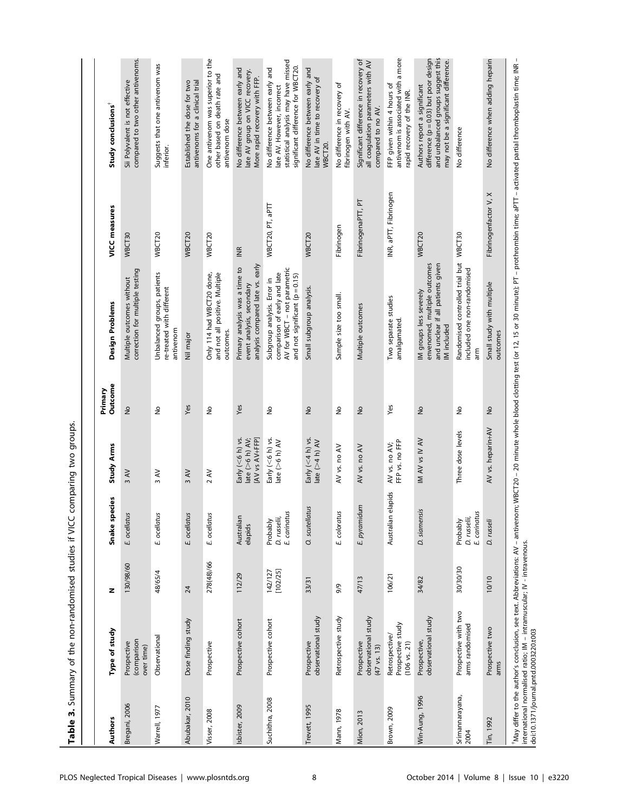Table 3. Summary of the non-randomised studies if VICC comparing two groups. Table 3. Summary of the non-randomised studies if VICC comparing two groups.

| Authors                 | Type of study                                                   | z                   | Snake species                            | <b>Study Arms</b>                                       | Outcome<br>Primary         | Design Problems                                                                                                                 | VICC measures         | Study conclusions                                                                                                                                   |
|-------------------------|-----------------------------------------------------------------|---------------------|------------------------------------------|---------------------------------------------------------|----------------------------|---------------------------------------------------------------------------------------------------------------------------------|-----------------------|-----------------------------------------------------------------------------------------------------------------------------------------------------|
| Bregani, 2006           | (comparison<br>Prospective<br>over time)                        | 130/98/60           | E. ocellatus                             | ≷<br>$\mathsf{m}$                                       | $\frac{1}{2}$              | correction for multiple testing<br>Multiple outcomes without                                                                    | <b>WBCT30</b>         | compared to two other antivenoms.<br>Sii Polyvalent is not effective                                                                                |
| Warrell, 1977           | Observational                                                   | 48/65/4             | E. ocellatus                             | $\approx$<br>$\sim$                                     | $\frac{1}{2}$              | Unbalanced groups, patients<br>re-treated with different<br>antivenom                                                           | WBCT20                | Suggests that one antivenom was<br>inferior.                                                                                                        |
| Abubakar, 2010          | Dose finding study                                              | 24                  | E. ocellatus                             | $\approx$<br>$\mathsf{S}$                               | Yes                        | Nil major                                                                                                                       | WBCT20                | Established the dose for two<br>antivenoms for a clinical trial                                                                                     |
| Visser, 2008            | Prospective                                                     | 278(48)/66          | E. ocellatus                             | 2 AV                                                    | $\frac{1}{2}$              | and not all positive. Multiple<br>Only 114 had WBCT20 done,<br>outcomes.                                                        | <b>WBCT20</b>         | One antivenom was superior to the<br>other based on death rate and<br>antivenom dose                                                                |
| sbister, 2009           | Prospective cohort                                              | 112/29              | Australian<br>elapids                    | Early (<6 h) vs.<br>late $(>6 h)$ AV;<br>[AV vs AV+FFP] | Yes                        | analysis compared late vs. early<br>Primary analysis was a time to<br>event analysis, secondary                                 | $\widetilde{\Xi}$     | No difference between early and<br>late AV group on VICC recovery.<br>More rapid recovery with FFP.                                                 |
| Suchithra, 2008         | Prospective cohort                                              | 142/127<br>[102/25] | E. carinatus<br>Probably<br>D. russelii, | Early $(<$ 6 h) vs.<br>late ( $>$ 6 h) AV               | Ş                          | AV for WBCT - not parametric<br>comparison of early and late<br>and not significant $(p = 0.15)$<br>Subgroup analysis. Error in | WBCT20, PT, aPTT      | statistical analysis may have missed<br>significant difference for WBCT20.<br>No difference between early and<br>late AV. However, incorrect        |
| Trevett, 1995           | observational study<br>Prospective                              | 33/31               | atus<br>O. scutell                       | Early $(<$ 4 h) vs.<br>$\text{late}$ ( $\gt$ 4 h) AV    | $\frac{1}{2}$              | Small subgroup analysis.                                                                                                        | WBCT20                | No difference between early and<br>late AV in time to recovery of<br>WBCT20.                                                                        |
| Mann, 1978              | Retrospective study                                             | 9/9                 | E. coloratus                             | AV vs. no AV                                            | $\frac{1}{2}$              | Sample size too small.                                                                                                          | Fibrinogen            | No difference in recovery of<br>fibrinogen with AV.                                                                                                 |
| Mion, 2013              | study<br>observational<br>Prospective<br>$(47 \text{ vs. } 13)$ | 47/13               | idum<br>E. pyrami                        | AV vs. no AV                                            | $\frac{1}{2}$              | Multiple outcomes                                                                                                               | FibrinogenaPTT, PT    | Significant difference in recovery of<br>all coagulation parameters with AV<br>compared to no AV.                                                   |
| Brown, 2009             | Prospective study<br>Retrospective/<br>$(106 \text{ vs. } 21)$  | 106/21              | elapids<br>Australian                    | FFP vs. no FFP<br>AV vs. no AV;                         | Yes                        | Two separate studies<br>amalgamated.                                                                                            | INR, aPTT, Fibrinogen | antivenom is associated with a more<br>FFP given within 4 hours of<br>rapid recovery of the INR.                                                    |
| Win-Aung, 1996          | observational study<br>Prospective,                             | 34/82               | D. siamensis                             | IM AV vs IV AV                                          | $\frac{\circ}{\sim}$       | envenomed, multiple outcomes<br>and unclear if all patients given<br>IM groups less severely<br>IM included                     | <b>WBCT20</b>         | and unbalanced groups suggest this<br>difference (p = 0.03) but poor design<br>may not be a significant difference.<br>Authors report a significant |
| Srimannarayana,<br>2004 | Prospective with two<br>arms randomised                         | 30/30/30            | D. russelii,<br>E. carinatus<br>Probably | Three dose levels                                       | $\geq$                     | Randomised controlled trial but WBCT30<br>included one non-randomised<br>arm                                                    |                       | No difference                                                                                                                                       |
| Tin, 1992               | Prospective two<br>arms                                         | 10/10               | D. russeli                               | AV vs. heparin+AV                                       | $\frac{\circ}{\mathsf{Z}}$ | Small study with multiple<br>outcomes                                                                                           | Fibrinogenfactor V, X | No difference when adding heparin                                                                                                                   |

PLOS Neglected Tropical Diseases | www.plosntds.org 8 8 8 0ctober 2014 | Volume 8 | Issue 10 | e3220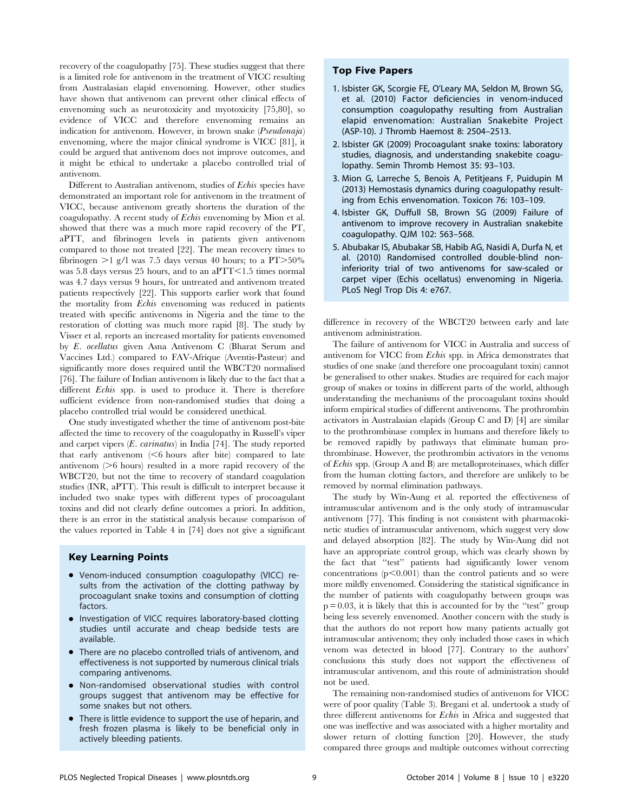recovery of the coagulopathy [75]. These studies suggest that there is a limited role for antivenom in the treatment of VICC resulting from Australasian elapid envenoming. However, other studies have shown that antivenom can prevent other clinical effects of envenoming such as neurotoxicity and myotoxicity [75,80], so evidence of VICC and therefore envenoming remains an indication for antivenom. However, in brown snake (Pseudonaja) envenoming, where the major clinical syndrome is VICC [81], it could be argued that antivenom does not improve outcomes, and it might be ethical to undertake a placebo controlled trial of antivenom.

Different to Australian antivenom, studies of Echis species have demonstrated an important role for antivenom in the treatment of VICC, because antivenom greatly shortens the duration of the coagulopathy. A recent study of Echis envenoming by Mion et al. showed that there was a much more rapid recovery of the PT, aPTT, and fibrinogen levels in patients given antivenom compared to those not treated [22]. The mean recovery times to fibrinogen  $>1$  g/l was 7.5 days versus 40 hours; to a PT $>50\%$ was 5.8 days versus 25 hours, and to an a $PTT<1.5$  times normal was 4.7 days versus 9 hours, for untreated and antivenom treated patients respectively [22]. This supports earlier work that found the mortality from Echis envenoming was reduced in patients treated with specific antivenoms in Nigeria and the time to the restoration of clotting was much more rapid [8]. The study by Visser et al. reports an increased mortality for patients envenomed by E. ocellatus given Asna Antivenom C (Bharat Serum and Vaccines Ltd.) compared to FAV-Afrique (Aventis-Pasteur) and significantly more doses required until the WBCT20 normalised [76]. The failure of Indian antivenom is likely due to the fact that a different *Echis* spp. is used to produce it. There is therefore sufficient evidence from non-randomised studies that doing a placebo controlled trial would be considered unethical.

One study investigated whether the time of antivenom post-bite affected the time to recovery of the coagulopathy in Russell's viper and carpet vipers (E. carinatus) in India [74]. The study reported that early antivenom  $(< 6$  hours after bite) compared to late antivenom  $($ >6 hours) resulted in a more rapid recovery of the WBCT20, but not the time to recovery of standard coagulation studies (INR, aPTT). This result is difficult to interpret because it included two snake types with different types of procoagulant toxins and did not clearly define outcomes a priori. In addition, there is an error in the statistical analysis because comparison of the values reported in Table 4 in [74] does not give a significant

## Key Learning Points

- Venom-induced consumption coagulopathy (VICC) results from the activation of the clotting pathway by procoagulant snake toxins and consumption of clotting factors.
- Investigation of VICC requires laboratory-based clotting studies until accurate and cheap bedside tests are available.
- There are no placebo controlled trials of antivenom, and effectiveness is not supported by numerous clinical trials comparing antivenoms.
- Non-randomised observational studies with control groups suggest that antivenom may be effective for some snakes but not others.
- There is little evidence to support the use of heparin, and fresh frozen plasma is likely to be beneficial only in actively bleeding patients.

# Top Five Papers

- 1. Isbister GK, Scorgie FE, O'Leary MA, Seldon M, Brown SG, et al. (2010) Factor deficiencies in venom-induced consumption coagulopathy resulting from Australian elapid envenomation: Australian Snakebite Project (ASP-10). J Thromb Haemost 8: 2504–2513.
- 2. Isbister GK (2009) Procoagulant snake toxins: laboratory studies, diagnosis, and understanding snakebite coagulopathy. Semin Thromb Hemost 35: 93–103.
- 3. Mion G, Larreche S, Benois A, Petitjeans F, Puidupin M (2013) Hemostasis dynamics during coagulopathy resulting from Echis envenomation. Toxicon 76: 103–109.
- 4. Isbister GK, Duffull SB, Brown SG (2009) Failure of antivenom to improve recovery in Australian snakebite coagulopathy. QJM 102: 563–568.
- 5. Abubakar IS, Abubakar SB, Habib AG, Nasidi A, Durfa N, et al. (2010) Randomised controlled double-blind noninferiority trial of two antivenoms for saw-scaled or carpet viper (Echis ocellatus) envenoming in Nigeria. PLoS Negl Trop Dis 4: e767.

difference in recovery of the WBCT20 between early and late antivenom administration.

The failure of antivenom for VICC in Australia and success of antivenom for VICC from Echis spp. in Africa demonstrates that studies of one snake (and therefore one procoagulant toxin) cannot be generalised to other snakes. Studies are required for each major group of snakes or toxins in different parts of the world, although understanding the mechanisms of the procoagulant toxins should inform empirical studies of different antivenoms. The prothrombin activators in Australasian elapids (Group C and D) [4] are similar to the prothrombinase complex in humans and therefore likely to be removed rapidly by pathways that eliminate human prothrombinase. However, the prothrombin activators in the venoms of Echis spp. (Group A and B) are metalloproteinases, which differ from the human clotting factors, and therefore are unlikely to be removed by normal elimination pathways.

The study by Win-Aung et al. reported the effectiveness of intramuscular antivenom and is the only study of intramuscular antivenom [77]. This finding is not consistent with pharmacokinetic studies of intramuscular antivenom, which suggest very slow and delayed absorption [82]. The study by Win-Aung did not have an appropriate control group, which was clearly shown by the fact that ''test'' patients had significantly lower venom concentrations  $(p<0.001)$  than the control patients and so were more mildly envenomed. Considering the statistical significance in the number of patients with coagulopathy between groups was  $p = 0.03$ , it is likely that this is accounted for by the "test" group being less severely envenomed. Another concern with the study is that the authors do not report how many patients actually got intramuscular antivenom; they only included those cases in which venom was detected in blood [77]. Contrary to the authors' conclusions this study does not support the effectiveness of intramuscular antivenom, and this route of administration should not be used.

The remaining non-randomised studies of antivenom for VICC were of poor quality (Table 3). Bregani et al. undertook a study of three different antivenoms for Echis in Africa and suggested that one was ineffective and was associated with a higher mortality and slower return of clotting function [20]. However, the study compared three groups and multiple outcomes without correcting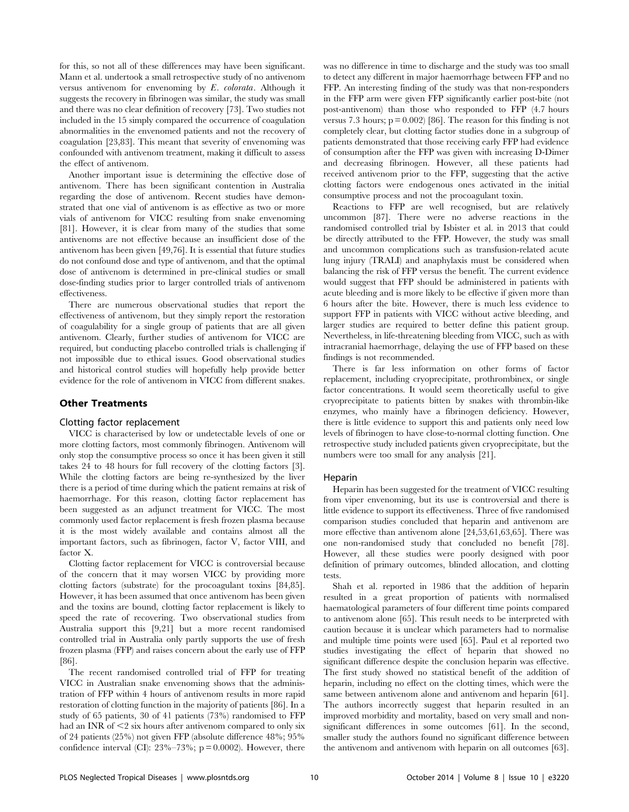for this, so not all of these differences may have been significant. Mann et al. undertook a small retrospective study of no antivenom versus antivenom for envenoming by E. colorata. Although it suggests the recovery in fibrinogen was similar, the study was small and there was no clear definition of recovery [73]. Two studies not included in the 15 simply compared the occurrence of coagulation abnormalities in the envenomed patients and not the recovery of coagulation [23,83]. This meant that severity of envenoming was confounded with antivenom treatment, making it difficult to assess the effect of antivenom.

Another important issue is determining the effective dose of antivenom. There has been significant contention in Australia regarding the dose of antivenom. Recent studies have demonstrated that one vial of antivenom is as effective as two or more vials of antivenom for VICC resulting from snake envenoming [81]. However, it is clear from many of the studies that some antivenoms are not effective because an insufficient dose of the antivenom has been given [49,76]. It is essential that future studies do not confound dose and type of antivenom, and that the optimal dose of antivenom is determined in pre-clinical studies or small dose-finding studies prior to larger controlled trials of antivenom effectiveness.

There are numerous observational studies that report the effectiveness of antivenom, but they simply report the restoration of coagulability for a single group of patients that are all given antivenom. Clearly, further studies of antivenom for VICC are required, but conducting placebo controlled trials is challenging if not impossible due to ethical issues. Good observational studies and historical control studies will hopefully help provide better evidence for the role of antivenom in VICC from different snakes.

# Other Treatments

# Clotting factor replacement

VICC is characterised by low or undetectable levels of one or more clotting factors, most commonly fibrinogen. Antivenom will only stop the consumptive process so once it has been given it still takes 24 to 48 hours for full recovery of the clotting factors [3]. While the clotting factors are being re-synthesized by the liver there is a period of time during which the patient remains at risk of haemorrhage. For this reason, clotting factor replacement has been suggested as an adjunct treatment for VICC. The most commonly used factor replacement is fresh frozen plasma because it is the most widely available and contains almost all the important factors, such as fibrinogen, factor V, factor VIII, and factor X.

Clotting factor replacement for VICC is controversial because of the concern that it may worsen VICC by providing more clotting factors (substrate) for the procoagulant toxins [84,85]. However, it has been assumed that once antivenom has been given and the toxins are bound, clotting factor replacement is likely to speed the rate of recovering. Two observational studies from Australia support this [9,21] but a more recent randomised controlled trial in Australia only partly supports the use of fresh frozen plasma (FFP) and raises concern about the early use of FFP [86].

The recent randomised controlled trial of FFP for treating VICC in Australian snake envenoming shows that the administration of FFP within 4 hours of antivenom results in more rapid restoration of clotting function in the majority of patients [86]. In a study of 65 patients, 30 of 41 patients (73%) randomised to FFP had an INR of  $\leq$ 2 six hours after antivenom compared to only six of 24 patients (25%) not given FFP (absolute difference 48%; 95% confidence interval (CI):  $23\% - 73\%$ ; p = 0.0002). However, there

was no difference in time to discharge and the study was too small to detect any different in major haemorrhage between FFP and no FFP. An interesting finding of the study was that non-responders in the FFP arm were given FFP significantly earlier post-bite (not post-antivenom) than those who responded to FFP (4.7 hours versus 7.3 hours;  $p = 0.002$  [86]. The reason for this finding is not completely clear, but clotting factor studies done in a subgroup of patients demonstrated that those receiving early FFP had evidence of consumption after the FFP was given with increasing D-Dimer and decreasing fibrinogen. However, all these patients had received antivenom prior to the FFP, suggesting that the active clotting factors were endogenous ones activated in the initial consumptive process and not the procoagulant toxin.

Reactions to FFP are well recognised, but are relatively uncommon [87]. There were no adverse reactions in the randomised controlled trial by Isbister et al. in 2013 that could be directly attributed to the FFP. However, the study was small and uncommon complications such as transfusion-related acute lung injury (TRALI) and anaphylaxis must be considered when balancing the risk of FFP versus the benefit. The current evidence would suggest that FFP should be administered in patients with acute bleeding and is more likely to be effective if given more than 6 hours after the bite. However, there is much less evidence to support FFP in patients with VICC without active bleeding, and larger studies are required to better define this patient group. Nevertheless, in life-threatening bleeding from VICC, such as with intracranial haemorrhage, delaying the use of FFP based on these findings is not recommended.

There is far less information on other forms of factor replacement, including cryoprecipitate, prothrombinex, or single factor concentrations. It would seem theoretically useful to give cryoprecipitate to patients bitten by snakes with thrombin-like enzymes, who mainly have a fibrinogen deficiency. However, there is little evidence to support this and patients only need low levels of fibrinogen to have close-to-normal clotting function. One retrospective study included patients given cryoprecipitate, but the numbers were too small for any analysis [21].

#### Heparin

Heparin has been suggested for the treatment of VICC resulting from viper envenoming, but its use is controversial and there is little evidence to support its effectiveness. Three of five randomised comparison studies concluded that heparin and antivenom are more effective than antivenom alone [24,53,61,63,65]. There was one non-randomised study that concluded no benefit [78]. However, all these studies were poorly designed with poor definition of primary outcomes, blinded allocation, and clotting tests.

Shah et al. reported in 1986 that the addition of heparin resulted in a great proportion of patients with normalised haematological parameters of four different time points compared to antivenom alone [65]. This result needs to be interpreted with caution because it is unclear which parameters had to normalise and multiple time points were used [65]. Paul et al reported two studies investigating the effect of heparin that showed no significant difference despite the conclusion heparin was effective. The first study showed no statistical benefit of the addition of heparin, including no effect on the clotting times, which were the same between antivenom alone and antivenom and heparin [61]. The authors incorrectly suggest that heparin resulted in an improved morbidity and mortality, based on very small and nonsignificant differences in some outcomes [61]. In the second, smaller study the authors found no significant difference between the antivenom and antivenom with heparin on all outcomes [63].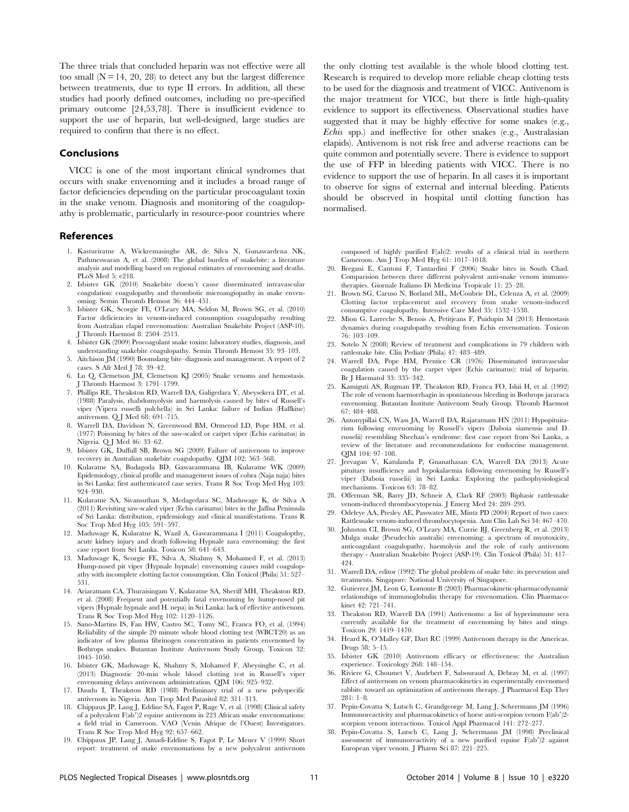The three trials that concluded heparin was not effective were all too small  $(N = 14, 20, 28)$  to detect any but the largest difference between treatments, due to type II errors. In addition, all these studies had poorly defined outcomes, including no pre-specified primary outcome [24,53,78]. There is insufficient evidence to support the use of heparin, but well-designed, large studies are required to confirm that there is no effect.

#### Conclusions

VICC is one of the most important clinical syndromes that occurs with snake envenoming and it includes a broad range of factor deficiencies depending on the particular procoagulant toxin in the snake venom. Diagnosis and monitoring of the coagulopathy is problematic, particularly in resource-poor countries where

#### References

- 1. Kasturiratne A, Wickremasinghe AR, de Silva N, Gunawardena NK, Pathmeswaran A, et al. (2008) The global burden of snakebite: a literature analysis and modelling based on regional estimates of envenoming and deaths. PLoS Med 5: e218.
- 2. Isbister GK (2010) Snakebite doesn't cause disseminated intravascular coagulation: coagulopathy and thrombotic microangiopathy in snake envenoming. Semin Thromb Hemost 36: 444–451.
- 3. Isbister GK, Scorgie FE, O'Leary MA, Seldon M, Brown SG, et al. (2010) Factor deficiencies in venom-induced consumption coagulopathy resulting from Australian elapid envenomation: Australian Snakebite Project (ASP-10). J Thromb Haemost 8: 2504–2513.
- 4. Isbister GK (2009) Procoagulant snake toxins: laboratory studies, diagnosis, and understanding snakebite coagulopathy. Semin Thromb Hemost 35: 93–103.
- 5. Aitchison JM (1990) Boomslang bite–diagnosis and management. A report of 2 cases. S Afr Med J 78: 39–42.
- 6. Lu Q, Clemetson JM, Clemetson KJ (2005) Snake venoms and hemostasis. J Thromb Haemost 3: 1791–1799.
- 7. Phillips RE, Theakston RD, Warrell DA, Galigedara Y, Abeysekera DT, et al. (1988) Paralysis, rhabdomyolysis and haemolysis caused by bites of Russell's viper (Vipera russelli pulchella) in Sri Lanka: failure of Indian (Haffkine) antivenom. Q J Med 68: 691–715.
- 8. Warrell DA, Davidson N, Greenwood BM, Ormerod LD, Pope HM, et al. (1977) Poisoning by bites of the saw-scaled or carpet viper (Echis carinatus) in Nigeria. Q J Med 46: 33–62.
- 9. Isbister GK, Duffull SB, Brown SG (2009) Failure of antivenom to improve recovery in Australian snakebite coagulopathy. QJM 102: 563–568.
- 10. Kularatne SA, Budagoda BD, Gawarammana IB, Kularatne WK (2009) Epidemiology, clinical profile and management issues of cobra (Naja naja) bites in Sri Lanka: first authenticated case series. Trans R Soc Trop Med Hyg 103: 924–930.
- 11. Kularatne SA, Sivansuthan S, Medagedara SC, Maduwage K, de Silva A (2011) Revisiting saw-scaled viper (Echis carinatus) bites in the Jaffna Peninsula of Sri Lanka: distribution, epidemiology and clinical manifestations. Trans R Soc Trop Med Hyg 105: 591–597.
- 12. Maduwage K, Kularatne K, Wazil A, Gawarammana I (2011) Coagulopthy, acute kidney injury and death following Hypnale zara envenoming: the first case report from Sri Lanka. Toxicon 58: 641–643.
- 13. Maduwage K, Scorgie FE, Silva A, Shahmy S, Mohamed F, et al. (2013) Hump-nosed pit viper (Hypnale hypnale) envenoming causes mild coagulopathy with incomplete clotting factor consumption. Clin Toxicol (Phila) 51: 527– 531.
- 14. Ariaratnam CA, Thuraisingam V, Kularatne SA, Sheriff MH, Theakston RD, et al. (2008) Frequent and potentially fatal envenoming by hump-nosed pit vipers (Hypnale hypnale and H. nepa) in Sri Lanka: lack of effective antivenom. Trans R Soc Trop Med Hyg 102: 1120–1126.
- 15. Sano-Martins IS, Fan HW, Castro SC, Tomy SC, Franca FO, et al. (1994) Reliability of the simple 20 minute whole blood clotting test (WBCT20) as an indicator of low plasma fibrinogen concentration in patients envenomed by Bothrops snakes. Butantan Institute Antivenom Study Group. Toxicon 32: 1045–1050.
- 16. Isbister GK, Maduwage K, Shahmy S, Mohamed F, Abeysinghe C, et al. (2013) Diagnostic 20-min whole blood clotting test in Russell's viper envenoming delays antivenom administration. QJM 106: 925–932.
- 17. Daudu I, Theakston RD (1988) Preliminary trial of a new polyspecific antivenom in Nigeria. Ann Trop Med Parasitol 82: 311–313.
- 18. Chippaux JP, Lang J, Eddine SA, Fagot P, Rage V, et al. (1998) Clinical safety of a polyvalent F(ab')2 equine antivenom in 223 African snake envenomations: a field trial in Cameroon. VAO (Venin Afrique de l'Ouest) Investigators. Trans R Soc Trop Med Hyg 92: 657–662.
- 19. Chippaux JP, Lang J, Amadi-Eddine S, Fagot P, Le Mener V (1999) Short report: treatment of snake envenomations by a new polyvalent antivenom

the only clotting test available is the whole blood clotting test. Research is required to develop more reliable cheap clotting tests to be used for the diagnosis and treatment of VICC. Antivenom is the major treatment for VICC, but there is little high-quality evidence to support its effectiveness. Observational studies have suggested that it may be highly effective for some snakes (e.g., Echis spp.) and ineffective for other snakes (e.g., Australasian elapids). Antivenom is not risk free and adverse reactions can be quite common and potentially severe. There is evidence to support the use of FFP in bleeding patients with VICC. There is no evidence to support the use of heparin. In all cases it is important to observe for signs of external and internal bleeding. Patients should be observed in hospital until clotting function has normalised.

composed of highly purified F(ab)2: results of a clinical trial in northern Cameroon. Am J Trop Med Hyg 61: 1017–1018.

- 20. Bregani E, Cantoni F, Tantardini F (2006) Snake bites in South Chad. Comparision between three different polyvalent anti-snake venom immunotherapies. Giornale Italiano Di Medicina Tropicale 11: 25–28.
- 21. Brown SG, Caruso N, Borland ML, McCoubrie DL, Celenza A, et al. (2009) Clotting factor replacement and recovery from snake venom-induced consumptive coagulopathy. Intensive Care Med 35: 1532–1538.
- 22. Mion G, Larreche S, Benois A, Petitjeans F, Puidupin M (2013) Hemostasis dynamics during coagulopathy resulting from Echis envenomation. Toxicon 76: 103–109.
- 23. Sotelo N (2008) Review of treatment and complications in 79 children with rattlesnake bite. Clin Pediatr (Phila) 47: 483–489.
- 24. Warrell DA, Pope HM, Prentice CR (1976) Disseminated intravascular coagulation caused by the carpet viper (Echis carinatus): trial of heparin. Br J Haematol 33: 335–342.
- 25. Kamiguti AS, Rugman FP, Theakston RD, Franca FO, Ishii H, et al. (1992) The role of venom haemorrhagin in spontaneous bleeding in Bothrops jararaca envenoming. Butantan Institute Antivenom Study Group. Thromb Haemost 67: 484–488.
- 26. Antonypillai CN, Wass JA, Warrell DA, Rajaratnam HN (2011) Hypopituitarism following envenoming by Russell's vipers (Daboia siamensis and D. russelii) resembling Sheehan's syndrome: first case report from Sri Lanka, a review of the literature and recommendations for endocrine management. QJM 104: 97–108.
- 27. Jeevagan V, Katulanda P, Gnanathasan CA, Warrell DA (2013) Acute pituitary insufficiency and hypokalaemia following envenoming by Russell's viper (Daboia russelii) in Sri Lanka: Exploring the pathophysiological mechanisms. Toxicon 63: 78–82.
- 28. Offerman SR, Barry JD, Schneir A, Clark RF (2003) Biphasic rattlesnake venom-induced thrombocytopenia. J Emerg Med 24: 289–293.
- 29. Odeleye AA, Presley AE, Passwater ME, Mintz PD (2004) Report of two cases: Rattlesnake venom-induced thrombocytopenia. Ann Clin Lab Sci 34: 467–470.
- 30. Johnston CI, Brown SG, O'Leary MA, Currie BJ, Greenberg R, et al. (2013) Mulga snake (Pseudechis australis) envenoming: a spectrum of myotoxicity, anticoagulant coagulopathy, haemolysis and the role of early antivenom therapy - Australian Snakebite Project (ASP-19). Clin Toxicol (Phila) 51: 417– 424.
- 31. Warrell DA, editor (1992) The global problem of snake bite: its prevention and treatments. Singapore: National University of Singapore.
- 32. Gutierrez JM, Leon G, Lomonte B (2003) Pharmacokinetic-pharmacodynamic relationships of immunoglobulin therapy for envenomation. Clin Pharmacokinet 42: 721–741.
- 33. Theakston RD, Warrell DA (1991) Antivenoms: a list of hyperimmune sera currently available for the treatment of envenoming by bites and stings. Toxicon 29: 1419–1470.
- 34. Heard K, O'Malley GF, Dart RC (1999) Antivenom therapy in the Americas. Drugs 58: 5–15.
- 35. Isbister GK (2010) Antivenom efficacy or effectiveness: the Australian experience. Toxicology 268: 148–154.
- 36. Riviere G, Choumet V, Audebert F, Sabouraud A, Debray M, et al. (1997) Effect of antivenom on venom pharmacokinetics in experimentally envenomed rabbits: toward an optimization of antivenom therapy. J Pharmacol Exp Ther 281: 1–8.
- 37. Pepin-Covatta S, Lutsch C, Grandgeorge M, Lang J, Scherrmann JM (1996) Immunoreactivity and pharmacokinetics of horse anti-scorpion venom F(ab')2scorpion venom interactions. Toxicol Appl Pharmacol 141: 272–277.
- 38. Pepin-Covatta S, Lutsch C, Lang J, Scherrmann JM (1998) Preclinical assessment of immunoreactivity of a new purified equine  $F(ab')$ 2 against European viper venom. J Pharm Sci 87: 221–225.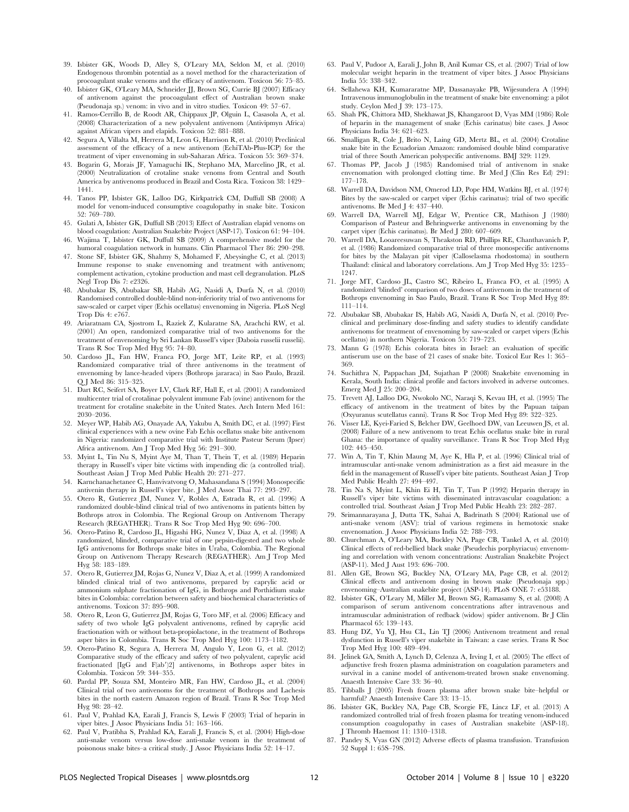- 39. Isbister GK, Woods D, Alley S, O'Leary MA, Seldon M, et al. (2010) Endogenous thrombin potential as a novel method for the characterization of procoagulant snake venoms and the efficacy of antivenom. Toxicon 56: 75–85.
- 40. Isbister GK, O'Leary MA, Schneider JJ, Brown SG, Currie BJ (2007) Efficacy of antivenom against the procoagulant effect of Australian brown snake (Pseudonaja sp.) venom: in vivo and in vitro studies. Toxicon 49: 57–67.
- 41. Ramos-Cerrillo B, de Roodt AR, Chippaux JP, Olguin L, Casasola A, et al. (2008) Characterization of a new polyvalent antivenom (Antivipmyn Africa) against African vipers and elapids. Toxicon 52: 881–888.
- 42. Segura A, Villalta M, Herrera M, Leon G, Harrison R, et al. (2010) Preclinical assessment of the efficacy of a new antivenom (EchiTAb-Plus-ICP) for the treatment of viper envenoming in sub-Saharan Africa. Toxicon 55: 369–374.
- 43. Bogarin G, Morais JF, Yamaguchi IK, Stephano MA, Marcelino JR, et al. (2000) Neutralization of crotaline snake venoms from Central and South America by antivenoms produced in Brazil and Costa Rica. Toxicon 38: 1429– 1441.
- 44. Tanos PP, Isbister GK, Lalloo DG, Kirkpatrick CM, Duffull SB (2008) A model for venom-induced consumptive coagulopathy in snake bite. Toxicon 52: 769–780.
- 45. Gulati A, Isbister GK, Duffull SB (2013) Effect of Australian elapid venoms on blood coagulation: Australian Snakebite Project (ASP-17). Toxicon 61: 94–104.
- 46. Wajima T, Isbister GK, Duffull SB (2009) A comprehensive model for the humoral coagulation network in humans. Clin Pharmacol Ther 86: 290–298.
- 47. Stone SF, Isbister GK, Shahmy S, Mohamed F, Abeysinghe C, et al. (2013) Immune response to snake envenoming and treatment with antivenom; complement activation, cytokine production and mast cell degranulation. PLoS Negl Trop Dis 7: e2326.
- 48. Abubakar IS, Abubakar SB, Habib AG, Nasidi A, Durfa N, et al. (2010) Randomised controlled double-blind non-inferiority trial of two antivenoms for saw-scaled or carpet viper (Echis ocellatus) envenoming in Nigeria. PLoS Negl Trop Dis 4: e767.
- 49. Ariaratnam CA, Sjostrom L, Raziek Z, Kularatne SA, Arachchi RW, et al. (2001) An open, randomized comparative trial of two antivenoms for the treatment of envenoming by Sri Lankan Russell's viper (Daboia russelii russelii). Trans R Soc Trop Med Hyg 95: 74–80.
- 50. Cardoso JL, Fan HW, Franca FO, Jorge MT, Leite RP, et al. (1993) Randomized comparative trial of three antivenoms in the treatment of envenoming by lance-headed vipers (Bothrops jararaca) in Sao Paulo, Brazil. Q J Med 86: 315–325.
- 51. Dart RC, Seifert SA, Boyer LV, Clark RF, Hall E, et al. (2001) A randomized multicenter trial of crotalinae polyvalent immune Fab (ovine) antivenom for the treatment for crotaline snakebite in the United States. Arch Intern Med 161: 2030–2036.
- 52. Meyer WP, Habib AG, Onayade AA, Yakubu A, Smith DC, et al. (1997) First clinical experiences with a new ovine Fab Echis ocellatus snake bite antivenom in Nigeria: randomized comparative trial with Institute Pasteur Serum (Ipser) Africa antivenom. Am J Trop Med Hyg 56: 291–300.
- 53. Myint L, Tin Nu S, Myint Aye M, Than T, Thein T, et al. (1989) Heparin therapy in Russell's viper bite victims with impending dic (a controlled trial). Southeast Asian J Trop Med Public Health 20: 271–277.
- 54. Karnchanachetanee C, Hanvivatvong O, Mahasandana S (1994) Monospecific antivenin therapy in Russell's viper bite. J Med Assoc Thai 77: 293–297.
- 55. Otero R, Gutierrez JM, Nunez V, Robles A, Estrada R, et al. (1996) A randomized double-blind clinical trial of two antivenoms in patients bitten by Bothrops atrox in Colombia. The Regional Group on Antivenom Therapy Research (REGATHER). Trans R Soc Trop Med Hyg 90: 696–700.
- 56. Otero-Patino R, Cardoso JL, Higashi HG, Nunez V, Diaz A, et al. (1998) A randomized, blinded, comparative trial of one pepsin-digested and two whole IgG antivenoms for Bothrops snake bites in Uraba, Colombia. The Regional Group on Antivenom Therapy Research (REGATHER). Am J Trop Med Hyg 58: 183–189.
- 57. Otero R, Gutierrez JM, Rojas G, Nunez V, Diaz A, et al. (1999) A randomized blinded clinical trial of two antivenoms, prepared by caprylic acid or ammonium sulphate fractionation of IgG, in Bothrops and Porthidium snake bites in Colombia: correlation between safety and biochemical characteristics of antivenoms. Toxicon 37: 895–908.
- 58. Otero R, Leon G, Gutierrez JM, Rojas G, Toro MF, et al. (2006) Efficacy and safety of two whole IgG polyvalent antivenoms, refined by caprylic acid fractionation with or without beta-propiolactone, in the treatment of Bothrops asper bites in Colombia. Trans R Soc Trop Med Hyg 100: 1173–1182.
- 59. Otero-Patino R, Segura A, Herrera M, Angulo Y, Leon G, et al. (2012) Comparative study of the efficacy and safety of two polyvalent, caprylic acid fractionated [IgG and F(ab')2] antivenoms, in Bothrops asper bites in Colombia. Toxicon 59: 344–355.
- 60. Pardal PP, Souza SM, Monteiro MR, Fan HW, Cardoso JL, et al. (2004) Clinical trial of two antivenoms for the treatment of Bothrops and Lachesis bites in the north eastern Amazon region of Brazil. Trans R Soc Trop Med Hyg 98: 28–42.
- 61. Paul V, Prahlad KA, Earali J, Francis S, Lewis F (2003) Trial of heparin in viper bites. J Assoc Physicians India 51: 163–166.
- 62. Paul V, Pratibha S, Prahlad KA, Earali J, Francis S, et al. (2004) High-dose anti-snake venom versus low-dose anti-snake venom in the treatment of poisonous snake bites–a critical study. J Assoc Physicians India 52: 14–17.
- 63. Paul V, Pudoor A, Earali J, John B, Anil Kumar CS, et al. (2007) Trial of low molecular weight heparin in the treatment of viper bites. J Assoc Physicians India 55: 338–342.
- 64. Sellahewa KH, Kumararatne MP, Dassanayake PB, Wijesundera A (1994) Intravenous immunoglobulin in the treatment of snake bite envenoming: a pilot study. Ceylon Med J 39: 173–175.
- 65. Shah PK, Chittora MD, Shekhawat JS, Khangaroot D, Vyas MM (1986) Role of heparin in the management of snake (Echis carinatus) bite cases. J Assoc Physicians India 34: 621–623.
- 66. Smalligan R, Cole J, Brito N, Laing GD, Mertz BL, et al. (2004) Crotaline snake bite in the Ecuadorian Amazon: randomised double blind comparative trial of three South American polyspecific antivenoms. BMJ 329: 1129.
- 67. Thomas PP, Jacob J (1985) Randomised trial of antivenom in snake envenomation with prolonged clotting time. Br Med J (Clin Res Ed) 291: 177–178.
- 68. Warrell DA, Davidson NM, Omerod LD, Pope HM, Watkins BJ, et al. (1974) Bites by the saw-scaled or carpet viper (Echis carinatus): trial of two specific antivenoms. Br Med J 4: 437–440.
- 69. Warrell DA, Warrell MJ, Edgar W, Prentice CR, Mathison J (1980) Comparison of Pasteur and Behringwerke antivenoms in envenoming by the carpet viper (Echis carinatus). Br Med J 280: 607–609.
- 70. Warrell DA, Looareesuwan S, Theakston RD, Phillips RE, Chanthavanich P, et al. (1986) Randomized comparative trial of three monospecific antivenoms for bites by the Malayan pit viper (Calloselasma rhodostoma) in southern Thailand: clinical and laboratory correlations. Am J Trop Med Hyg 35: 1235– 1247.
- 71. Jorge MT, Cardoso JL, Castro SC, Ribeiro L, Franca FO, et al. (1995) A randomized 'blinded' comparison of two doses of antivenom in the treatment of Bothrops envenoming in Sao Paulo, Brazil. Trans R Soc Trop Med Hyg 89:  $111 - 114$
- 72. Abubakar SB, Abubakar IS, Habib AG, Nasidi A, Durfa N, et al. (2010) Preclinical and preliminary dose-finding and safety studies to identify candidate antivenoms for treatment of envenoming by saw-scaled or carpet vipers (Echis ocellatus) in northern Nigeria. Toxicon 55: 719–723.
- 73. Mann G (1978) Echis colorata bites in Israel: an evaluation of specific antiserum use on the base of 21 cases of snake bite. Toxicol Eur Res 1: 365– 369.
- 74. Suchithra N, Pappachan JM, Sujathan P (2008) Snakebite envenoming in Kerala, South India: clinical profile and factors involved in adverse outcomes. Emerg Med J 25: 200–204.
- 75. Trevett AJ, Lalloo DG, Nwokolo NC, Naraqi S, Kevau IH, et al. (1995) The efficacy of antivenom in the treatment of bites by the Papuan taipan (Oxyuranus scutellatus canni). Trans R Soc Trop Med Hyg 89: 322–325.
- 76. Visser LE, Kyei-Faried S, Belcher DW, Geelhoed DW, van Leeuwen JS, et al. (2008) Failure of a new antivenom to treat Echis ocellatus snake bite in rural Ghana: the importance of quality surveillance. Trans R Soc Trop Med Hyg 102: 445–450.
- 77. Win A, Tin T, Khin Maung M, Aye K, Hla P, et al. (1996) Clinical trial of intramuscular anti-snake venom administration as a first aid measure in the field in the management of Russell's viper bite patients. Southeast Asian J Trop Med Public Health 27: 494–497.
- Tin Na S, Myint L, Khin Ei H, Tin T, Tun P (1992) Heparin therapy in Russell's viper bite victims with disseminated intravascular coagulation: a controlled trial. Southeast Asian J Trop Med Public Health 23: 282–287.
- 79. Srimannarayana J, Dutta TK, Sahai A, Badrinath S (2004) Rational use of anti-snake venom (ASV): trial of various regimens in hemotoxic snake envenomation. J Assoc Physicians India 52: 788–793.
- 80. Churchman A, O'Leary MA, Buckley NA, Page CB, Tankel A, et al. (2010) Clinical effects of red-bellied black snake (Pseudechis porphyriacus) envenoming and correlation with venom concentrations: Australian Snakebite Project (ASP-11). Med J Aust 193: 696–700.
- 81. Allen GE, Brown SG, Buckley NA, O'Leary MA, Page CB, et al. (2012) Clinical effects and antivenom dosing in brown snake (Pseudonaja spp.) envenoming–Australian snakebite project (ASP-14). PLoS ONE 7: e53188.
- 82. Isbister GK, O'Leary M, Miller M, Brown SG, Ramasamy S, et al. (2008) A comparison of serum antivenom concentrations after intravenous and intramuscular administration of redback (widow) spider antivenom. Br J Clin Pharmacol 65: 139–143.
- 83. Hung DZ, Yu YJ, Hsu CL, Lin TJ (2006) Antivenom treatment and renal dysfunction in Russell's viper snakebite in Taiwan: a case series. Trans R Soc Trop Med Hyg 100: 489–494.
- 84. Jelinek GA, Smith A, Lynch D, Celenza A, Irving I, et al. (2005) The effect of adjunctive fresh frozen plasma administration on coagulation parameters and survival in a canine model of antivenom-treated brown snake envenoming. Anaesth Intensive Care 33: 36–40.
- 85. Tibballs J (2005) Fresh frozen plasma after brown snake bite–helpful or harmful? Anaesth Intensive Care 33: 13–15.
- 86. Isbister GK, Buckley NA, Page CB, Scorgie FE, Lincz LF, et al. (2013) A randomized controlled trial of fresh frozen plasma for treating venom-induced consumption coagulopathy in cases of Australian snakebite (ASP-18). J Thromb Haemost 11: 1310–1318.
- 87. Pandey S, Vyas GN (2012) Adverse effects of plasma transfusion. Transfusion 52 Suppl 1: 65S–79S.